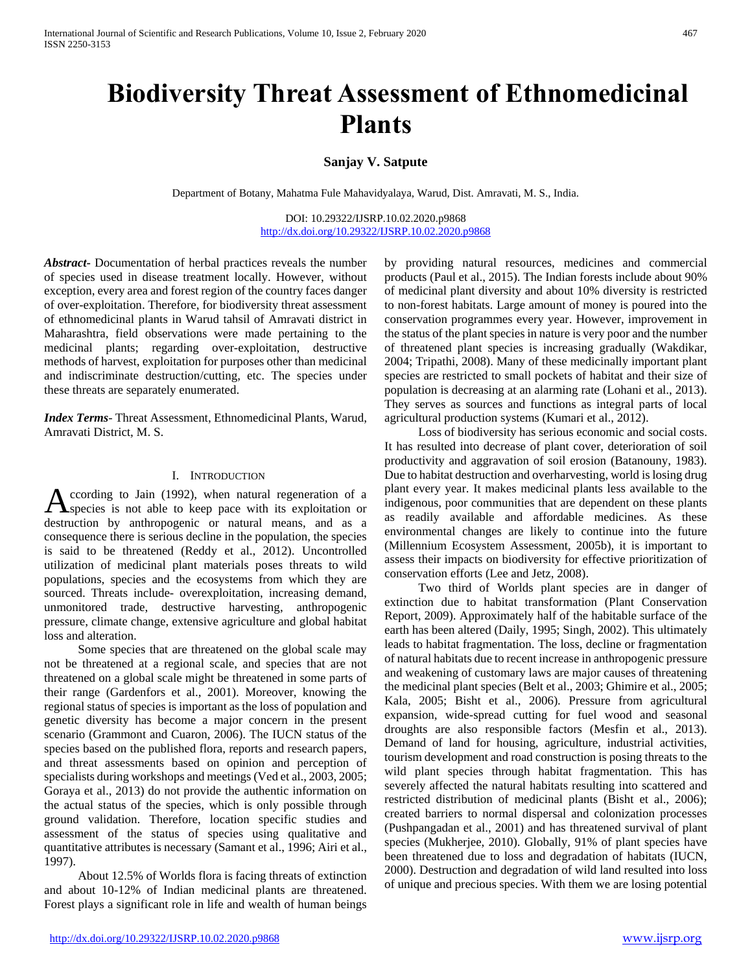# **Biodiversity Threat Assessment of Ethnomedicinal Plants**

**Sanjay V. Satpute** 

Department of Botany, Mahatma Fule Mahavidyalaya, Warud, Dist. Amravati, M. S., India.

DOI: 10.29322/IJSRP.10.02.2020.p9868 <http://dx.doi.org/10.29322/IJSRP.10.02.2020.p9868>

*Abstract***-** Documentation of herbal practices reveals the number of species used in disease treatment locally. However, without exception, every area and forest region of the country faces danger of over-exploitation. Therefore, for biodiversity threat assessment of ethnomedicinal plants in Warud tahsil of Amravati district in Maharashtra, field observations were made pertaining to the medicinal plants; regarding over-exploitation, destructive methods of harvest, exploitation for purposes other than medicinal and indiscriminate destruction/cutting, etc. The species under these threats are separately enumerated.

*Index Terms*- Threat Assessment, Ethnomedicinal Plants, Warud, Amravati District, M. S.

# I. INTRODUCTION

ccording to Jain (1992), when natural regeneration of a According to Jain (1992), when natural regeneration of a species is not able to keep pace with its exploitation or destruction by anthropogenic or natural means, and as a consequence there is serious decline in the population, the species is said to be threatened (Reddy et al., 2012). Uncontrolled utilization of medicinal plant materials poses threats to wild populations, species and the ecosystems from which they are sourced. Threats include- overexploitation, increasing demand, unmonitored trade, destructive harvesting, anthropogenic pressure, climate change, extensive agriculture and global habitat loss and alteration.

 Some species that are threatened on the global scale may not be threatened at a regional scale, and species that are not threatened on a global scale might be threatened in some parts of their range (Gardenfors et al., 2001). Moreover, knowing the regional status of species is important as the loss of population and genetic diversity has become a major concern in the present scenario (Grammont and Cuaron, 2006). The IUCN status of the species based on the published flora, reports and research papers, and threat assessments based on opinion and perception of specialists during workshops and meetings (Ved et al., 2003, 2005; Goraya et al., 2013) do not provide the authentic information on the actual status of the species, which is only possible through ground validation. Therefore, location specific studies and assessment of the status of species using qualitative and quantitative attributes is necessary (Samant et al., 1996; Airi et al., 1997).

 About 12.5% of Worlds flora is facing threats of extinction and about 10-12% of Indian medicinal plants are threatened. Forest plays a significant role in life and wealth of human beings

by providing natural resources, medicines and commercial products (Paul et al., 2015). The Indian forests include about 90% of medicinal plant diversity and about 10% diversity is restricted to non-forest habitats. Large amount of money is poured into the conservation programmes every year. However, improvement in the status of the plant species in nature is very poor and the number of threatened plant species is increasing gradually (Wakdikar, 2004; Tripathi, 2008). Many of these medicinally important plant species are restricted to small pockets of habitat and their size of population is decreasing at an alarming rate (Lohani et al., 2013). They serves as sources and functions as integral parts of local agricultural production systems (Kumari et al., 2012).

 Loss of biodiversity has serious economic and social costs. It has resulted into decrease of plant cover, deterioration of soil productivity and aggravation of soil erosion (Batanouny, 1983). Due to habitat destruction and overharvesting, world is losing drug plant every year. It makes medicinal plants less available to the indigenous, poor communities that are dependent on these plants as readily available and affordable medicines. As these environmental changes are likely to continue into the future (Millennium Ecosystem Assessment, 2005b), it is important to assess their impacts on biodiversity for effective prioritization of conservation efforts (Lee and Jetz, 2008).

 Two third of Worlds plant species are in danger of extinction due to habitat transformation (Plant Conservation Report, 2009). Approximately half of the habitable surface of the earth has been altered (Daily, 1995; Singh, 2002). This ultimately leads to habitat fragmentation. The loss, decline or fragmentation of natural habitats due to recent increase in anthropogenic pressure and weakening of customary laws are major causes of threatening the medicinal plant species (Belt et al., 2003; Ghimire et al., 2005; Kala, 2005; Bisht et al., 2006). Pressure from agricultural expansion, wide-spread cutting for fuel wood and seasonal droughts are also responsible factors (Mesfin et al., 2013). Demand of land for housing, agriculture, industrial activities, tourism development and road construction is posing threats to the wild plant species through habitat fragmentation. This has severely affected the natural habitats resulting into scattered and restricted distribution of medicinal plants (Bisht et al., 2006); created barriers to normal dispersal and colonization processes (Pushpangadan et al., 2001) and has threatened survival of plant species (Mukherjee, 2010). Globally, 91% of plant species have been threatened due to loss and degradation of habitats (IUCN, 2000). Destruction and degradation of wild land resulted into loss of unique and precious species. With them we are losing potential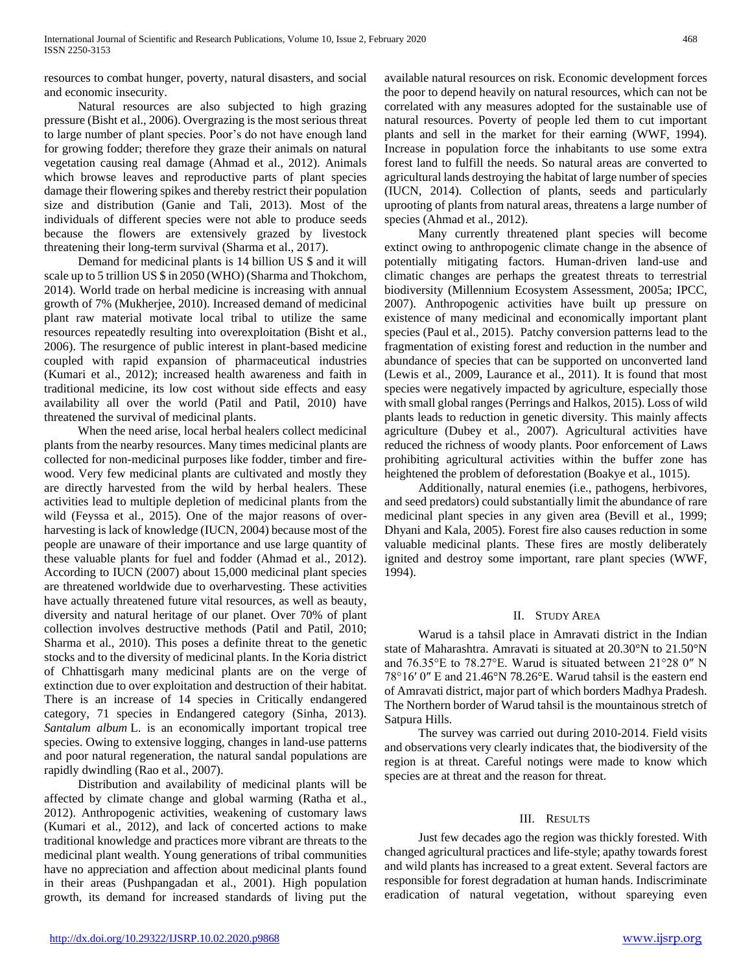resources to combat hunger, poverty, natural disasters, and social and economic insecurity.

 Natural resources are also subjected to high grazing pressure (Bisht et al., 2006). Overgrazing is the most serious threat to large number of plant species. Poor's do not have enough land for growing fodder; therefore they graze their animals on natural vegetation causing real damage (Ahmad et al., 2012). Animals which browse leaves and reproductive parts of plant species damage their flowering spikes and thereby restrict their population size and distribution (Ganie and Tali, 2013). Most of the individuals of different species were not able to produce seeds because the flowers are extensively grazed by livestock threatening their long-term survival (Sharma et al., 2017).

 Demand for medicinal plants is 14 billion US \$ and it will scale up to 5 trillion US \$ in 2050 (WHO) (Sharma and Thokchom, 2014). World trade on herbal medicine is increasing with annual growth of 7% (Mukherjee, 2010). Increased demand of medicinal plant raw material motivate local tribal to utilize the same resources repeatedly resulting into overexploitation (Bisht et al., 2006). The resurgence of public interest in plant-based medicine coupled with rapid expansion of pharmaceutical industries (Kumari et al., 2012); increased health awareness and faith in traditional medicine, its low cost without side effects and easy availability all over the world (Patil and Patil, 2010) have threatened the survival of medicinal plants.

 When the need arise, local herbal healers collect medicinal plants from the nearby resources. Many times medicinal plants are collected for non-medicinal purposes like fodder, timber and firewood. Very few medicinal plants are cultivated and mostly they are directly harvested from the wild by herbal healers. These activities lead to multiple depletion of medicinal plants from the wild (Feyssa et al., 2015). One of the major reasons of overharvesting is lack of knowledge (IUCN, 2004) because most of the people are unaware of their importance and use large quantity of these valuable plants for fuel and fodder (Ahmad et al., 2012). According to IUCN (2007) about 15,000 medicinal plant species are threatened worldwide due to overharvesting. These activities have actually threatened future vital resources, as well as beauty, diversity and natural heritage of our planet. Over 70% of plant collection involves destructive methods (Patil and Patil, 2010; Sharma et al., 2010). This poses a definite threat to the genetic stocks and to the diversity of medicinal plants. In the Koria district of Chhattisgarh many medicinal plants are on the verge of extinction due to over exploitation and destruction of their habitat. There is an increase of 14 species in Critically endangered category, 71 species in Endangered category (Sinha, 2013). *Santalum album* L. is an economically important tropical tree species. Owing to extensive logging, changes in land-use patterns and poor natural regeneration, the natural sandal populations are rapidly dwindling (Rao et al., 2007).

 Distribution and availability of medicinal plants will be affected by climate change and global warming (Ratha et al., 2012). Anthropogenic activities, weakening of customary laws (Kumari et al., 2012), and lack of concerted actions to make traditional knowledge and practices more vibrant are threats to the medicinal plant wealth. Young generations of tribal communities have no appreciation and affection about medicinal plants found in their areas (Pushpangadan et al., 2001). High population growth, its demand for increased standards of living put the

available natural resources on risk. Economic development forces the poor to depend heavily on natural resources, which can not be correlated with any measures adopted for the sustainable use of natural resources. Poverty of people led them to cut important plants and sell in the market for their earning (WWF, 1994). Increase in population force the inhabitants to use some extra forest land to fulfill the needs. So natural areas are converted to agricultural lands destroying the habitat of large number of species (IUCN, 2014). Collection of plants, seeds and particularly uprooting of plants from natural areas, threatens a large number of species (Ahmad et al., 2012).

 Many currently threatened plant species will become extinct owing to anthropogenic climate change in the absence of potentially mitigating factors. Human-driven land-use and climatic changes are perhaps the greatest threats to terrestrial biodiversity (Millennium Ecosystem Assessment, 2005a; IPCC, 2007). Anthropogenic activities have built up pressure on existence of many medicinal and economically important plant species (Paul et al., 2015). Patchy conversion patterns lead to the fragmentation of existing forest and reduction in the number and abundance of species that can be supported on unconverted land (Lewis et al., 2009, Laurance et al., 2011). It is found that most species were negatively impacted by agriculture, especially those with small global ranges (Perrings and Halkos, 2015). Loss of wild plants leads to reduction in genetic diversity. This mainly affects agriculture (Dubey et al., 2007). Agricultural activities have reduced the richness of woody plants. Poor enforcement of Laws prohibiting agricultural activities within the buffer zone has heightened the problem of deforestation (Boakye et al., 1015).

 Additionally, natural enemies (i.e., pathogens, herbivores, and seed predators) could substantially limit the abundance of rare medicinal plant species in any given area (Bevill et al., 1999; Dhyani and Kala, 2005). Forest fire also causes reduction in some valuable medicinal plants. These fires are mostly deliberately ignited and destroy some important, rare plant species (WWF, 1994).

# II. STUDY AREA

 Warud is a tahsil place in Amravati district in the Indian state of Maharashtra. Amravati is situated at 20.30°N to 21.50°N and 76.35°E to 78.27°E. Warud is situated between 21°28 0″ N 78°16′ 0″ E and 21.46°N 78.26°E. Warud tahsil is the eastern end of Amravati district, major part of which borders Madhya Pradesh. The Northern border of Warud tahsil is the mountainous stretch of Satpura Hills.

 The survey was carried out during 2010-2014. Field visits and observations very clearly indicates that, the biodiversity of the region is at threat. Careful notings were made to know which species are at threat and the reason for threat.

# III. RESULTS

 Just few decades ago the region was thickly forested. With changed agricultural practices and life-style; apathy towards forest and wild plants has increased to a great extent. Several factors are responsible for forest degradation at human hands. Indiscriminate eradication of natural vegetation, without spareying even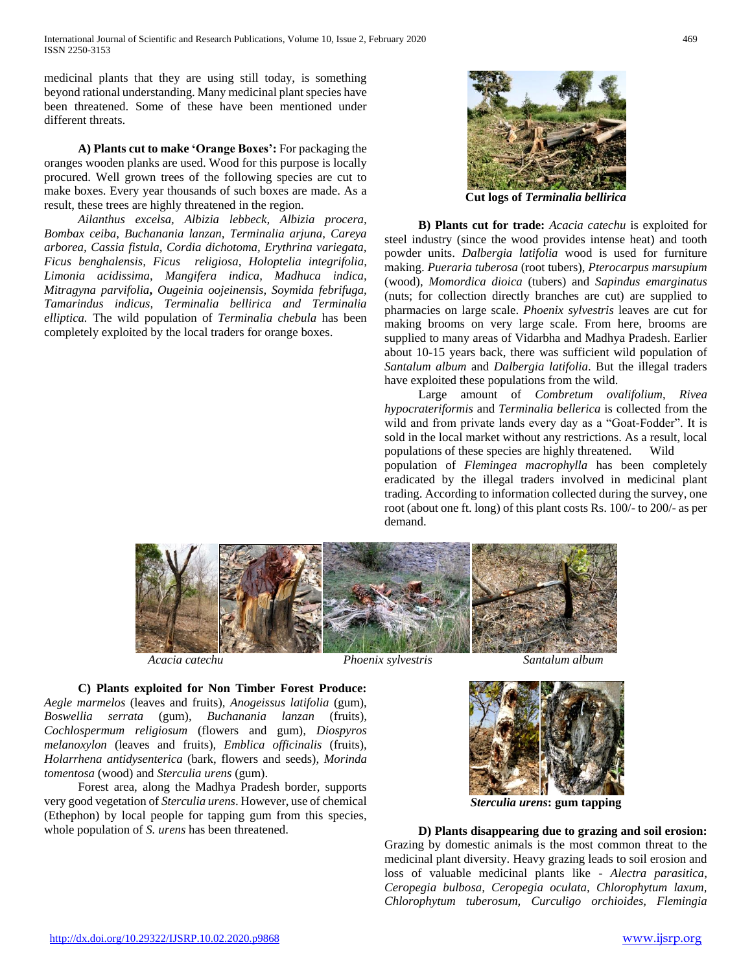medicinal plants that they are using still today, is something beyond rational understanding. Many medicinal plant species have been threatened. Some of these have been mentioned under different threats.

 **A) Plants cut to make 'Orange Boxes':** For packaging the oranges wooden planks are used. Wood for this purpose is locally procured. Well grown trees of the following species are cut to make boxes. Every year thousands of such boxes are made. As a result, these trees are highly threatened in the region.

 *Ailanthus excelsa, Albizia lebbeck, Albizia procera, Bombax ceiba, Buchanania lanzan, Terminalia arjuna, Careya arborea, Cassia fistula, Cordia dichotoma, Erythrina variegata, Ficus benghalensis, Ficus religiosa, Holoptelia integrifolia, Limonia acidissima, Mangifera indica, Madhuca indica, Mitragyna parvifolia***,** *Ougeinia oojeinensis, Soymida febrifuga, Tamarindus indicus, Terminalia bellirica and Terminalia elliptica.* The wild population of *Terminalia chebula* has been completely exploited by the local traders for orange boxes.



**Cut logs of** *Terminalia bellirica*

 **B) Plants cut for trade:** *Acacia catechu* is exploited for steel industry (since the wood provides intense heat) and tooth powder units. *Dalbergia latifolia* wood is used for furniture making. *Pueraria tuberosa* (root tubers), *Pterocarpus marsupium*  (wood)*, Momordica dioica* (tubers) and *Sapindus emarginatus*  (nuts; for collection directly branches are cut) are supplied to pharmacies on large scale. *Phoenix sylvestris* leaves are cut for making brooms on very large scale. From here, brooms are supplied to many areas of Vidarbha and Madhya Pradesh. Earlier about 10-15 years back, there was sufficient wild population of *Santalum album* and *Dalbergia latifolia*. But the illegal traders have exploited these populations from the wild.

 Large amount of *Combretum ovalifolium*, *Rivea hypocrateriformis* and *Terminalia bellerica* is collected from the wild and from private lands every day as a "Goat-Fodder". It is sold in the local market without any restrictions. As a result, local populations of these species are highly threatened. Wild population of *Flemingea macrophylla* has been completely eradicated by the illegal traders involved in medicinal plant trading. According to information collected during the survey, one root (about one ft. long) of this plant costs Rs. 100/- to 200/- as per demand.



(Ethephon) by local people for tapping gum from this species,

*Acacia catechu Phoenix sylvestris Santalum album*



*Sterculia urens***: gum tapping**

 **D) Plants disappearing due to grazing and soil erosion:**  Grazing by domestic animals is the most common threat to the medicinal plant diversity. Heavy grazing leads to soil erosion and loss of valuable medicinal plants like - *Alectra parasitica*, *Ceropegia bulbosa, Ceropegia oculata, Chlorophytum laxum, Chlorophytum tuberosum, Curculigo orchioides, Flemingia* 

*tomentosa* (wood) and *Sterculia urens* (gum).

whole population of *S. urens* has been threatened.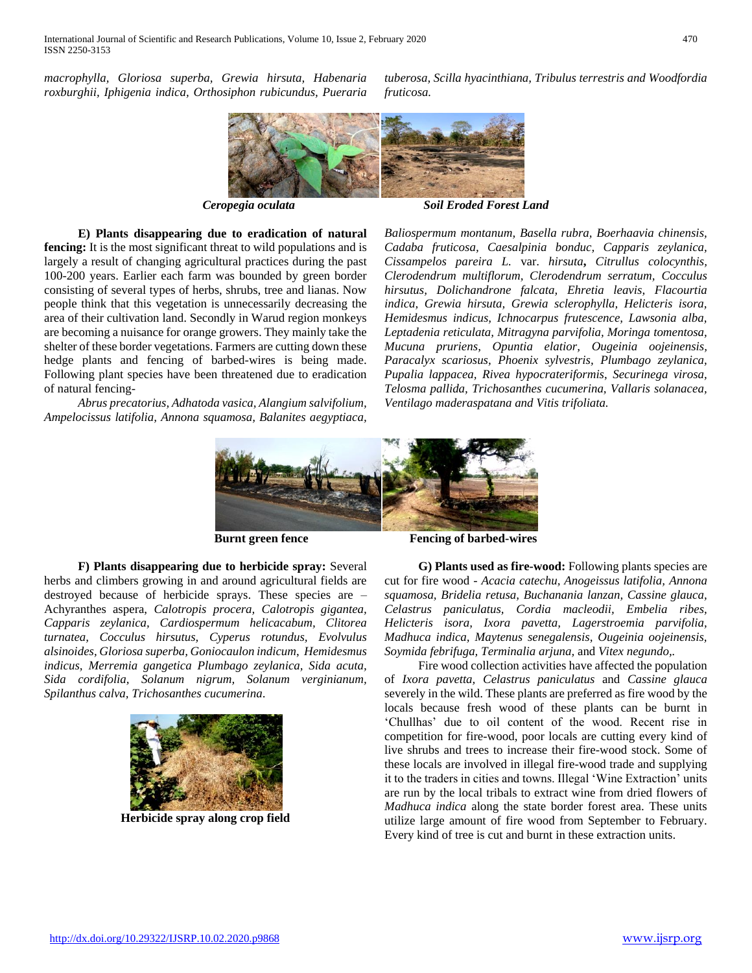*macrophylla, Gloriosa superba, Grewia hirsuta, Habenaria roxburghii, Iphigenia indica, Orthosiphon rubicundus, Pueraria* 



*fruticosa.*

*Ceropegia oculata Soil Eroded Forest Land*

 **E) Plants disappearing due to eradication of natural fencing:** It is the most significant threat to wild populations and is largely a result of changing agricultural practices during the past 100-200 years. Earlier each farm was bounded by green border consisting of several types of herbs, shrubs, tree and lianas. Now people think that this vegetation is unnecessarily decreasing the area of their cultivation land. Secondly in Warud region monkeys are becoming a nuisance for orange growers. They mainly take the shelter of these border vegetations. Farmers are cutting down these hedge plants and fencing of barbed-wires is being made. Following plant species have been threatened due to eradication of natural fencing-

 *Abrus precatorius, Adhatoda vasica, Alangium salvifolium, Ampelocissus latifolia, Annona squamosa, Balanites aegyptiaca,*  *Baliospermum montanum, Basella rubra, Boerhaavia chinensis, Cadaba fruticosa, Caesalpinia bonduc, Capparis zeylanica, Cissampelos pareira L.* var. *hirsuta***,** *Citrullus colocynthis, Clerodendrum multiflorum, Clerodendrum serratum, Cocculus hirsutus, Dolichandrone falcata, Ehretia leavis, Flacourtia indica, Grewia hirsuta, Grewia sclerophylla, Helicteris isora, Hemidesmus indicus, Ichnocarpus frutescence, Lawsonia alba, Leptadenia reticulata, Mitragyna parvifolia, Moringa tomentosa, Mucuna pruriens, Opuntia elatior, Ougeinia oojeinensis, Paracalyx scariosus, Phoenix sylvestris, Plumbago zeylanica, Pupalia lappacea, Rivea hypocrateriformis*, *Securinega virosa, Telosma pallida, Trichosanthes cucumerina, Vallaris solanacea, Ventilago maderaspatana and Vitis trifoliata.*

*tuberosa, Scilla hyacinthiana, Tribulus terrestris and Woodfordia* 



**Burnt green fence** Fencing of barbed-wires

 **F) Plants disappearing due to herbicide spray:** Several herbs and climbers growing in and around agricultural fields are destroyed because of herbicide sprays. These species are – Achyranthes aspera, *Calotropis procera, Calotropis gigantea, Capparis zeylanica, Cardiospermum helicacabum, Clitorea turnatea, Cocculus hirsutus, Cyperus rotundus, Evolvulus alsinoides, Gloriosa superba, Goniocaulon indicum*, *Hemidesmus indicus, Merremia gangetica Plumbago zeylanica, Sida acuta, Sida cordifolia, Solanum nigrum, Solanum verginianum, Spilanthus calva, Trichosanthes cucumerina*.



*Madhuca indica, Maytenus senegalensis, Ougeinia oojeinensis, Soymida febrifuga, Terminalia arjuna,* and *Vitex negundo,.* Fire wood collection activities have affected the population of *Ixora pavetta, Celastrus paniculatus* and *Cassine glauca* severely in the wild. These plants are preferred as fire wood by the locals because fresh wood of these plants can be burnt in

'Chullhas' due to oil content of the wood. Recent rise in competition for fire-wood, poor locals are cutting every kind of live shrubs and trees to increase their fire-wood stock. Some of these locals are involved in illegal fire-wood trade and supplying it to the traders in cities and towns. Illegal 'Wine Extraction' units are run by the local tribals to extract wine from dried flowers of *Madhuca indica* along the state border forest area. These units utilize large amount of fire wood from September to February. Every kind of tree is cut and burnt in these extraction units.

 **G) Plants used as fire-wood:** Following plants species are cut for fire wood - *Acacia catechu, Anogeissus latifolia, Annona squamosa, Bridelia retusa, Buchanania lanzan, Cassine glauca, Celastrus paniculatus, Cordia macleodii, Embelia ribes, Helicteris isora, Ixora pavetta, Lagerstroemia parvifolia,*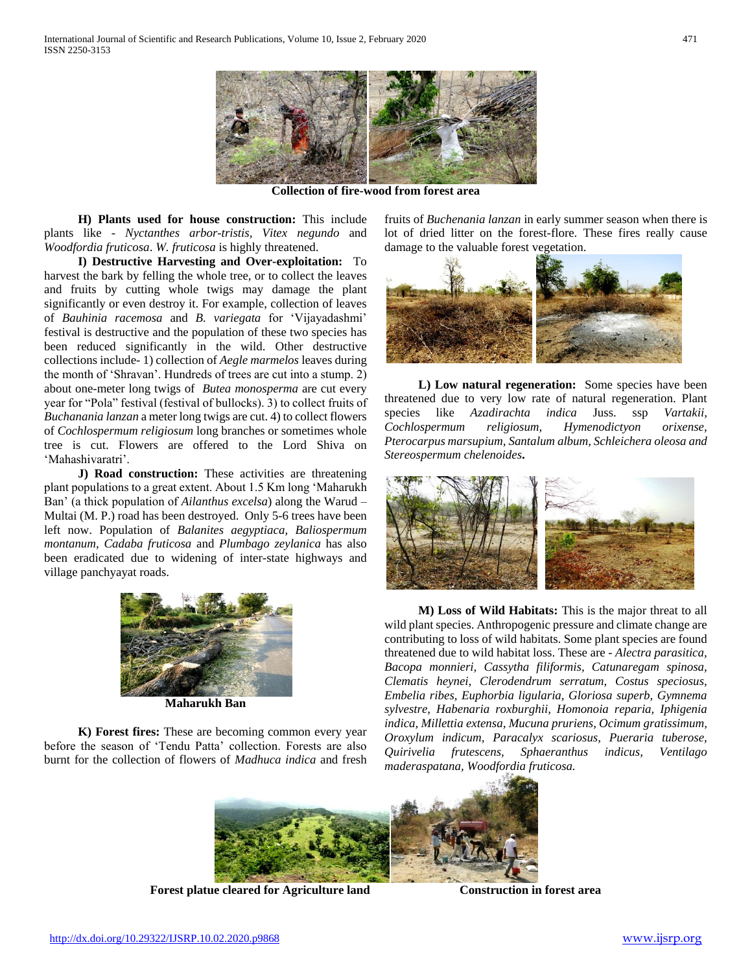

**Collection of fire-wood from forest area**

 **H) Plants used for house construction:** This include plants like - *Nyctanthes arbor-tristis, Vitex negundo* and *Woodfordia fruticosa*. *W. fruticosa* is highly threatened.

 **I) Destructive Harvesting and Over-exploitation:** To harvest the bark by felling the whole tree, or to collect the leaves and fruits by cutting whole twigs may damage the plant significantly or even destroy it. For example, collection of leaves of *Bauhinia racemosa* and *B. variegata* for 'Vijayadashmi' festival is destructive and the population of these two species has been reduced significantly in the wild. Other destructive collections include- 1) collection of *Aegle marmelos* leaves during the month of 'Shravan'. Hundreds of trees are cut into a stump. 2) about one-meter long twigs of *Butea monosperma* are cut every year for "Pola" festival (festival of bullocks). 3) to collect fruits of *Buchanania lanzan* a meter long twigs are cut. 4) to collect flowers of *Cochlospermum religiosum* long branches or sometimes whole tree is cut. Flowers are offered to the Lord Shiva on 'Mahashivaratri'.

 **J) Road construction:** These activities are threatening plant populations to a great extent. About 1.5 Km long 'Maharukh Ban' (a thick population of *Ailanthus excelsa*) along the Warud – Multai (M. P.) road has been destroyed. Only 5-6 trees have been left now. Population of *Balanites aegyptiaca, Baliospermum montanum, Cadaba fruticosa* and *Plumbago zeylanica* has also been eradicated due to widening of inter-state highways and village panchyayat roads.



**Maharukh Ban**

 **K) Forest fires:** These are becoming common every year before the season of 'Tendu Patta' collection. Forests are also burnt for the collection of flowers of *Madhuca indica* and fresh fruits of *Buchenania lanzan* in early summer season when there is lot of dried litter on the forest-flore. These fires really cause damage to the valuable forest vegetation.



 **L) Low natural regeneration:** Some species have been threatened due to very low rate of natural regeneration. Plant species like *Azadirachta indica* Juss. ssp *Vartakii, Cochlospermum religiosum, Hymenodictyon orixense, Pterocarpus marsupium, Santalum album, Schleichera oleosa and Stereospermum chelenoides***.**



 **M) Loss of Wild Habitats:** This is the major threat to all wild plant species. Anthropogenic pressure and climate change are contributing to loss of wild habitats. Some plant species are found threatened due to wild habitat loss. These are - *Alectra parasitica, Bacopa monnieri, Cassytha filiformis, Catunaregam spinosa, Clematis heynei, Clerodendrum serratum, Costus speciosus, Embelia ribes, Euphorbia ligularia, Gloriosa superb, Gymnema sylvestre, Habenaria roxburghii, Homonoia reparia, Iphigenia indica, Millettia extensa, Mucuna pruriens, Ocimum gratissimum, Oroxylum indicum, Paracalyx scariosus, Pueraria tuberose, Quirivelia frutescens, Sphaeranthus indicus, Ventilago maderaspatana, Woodfordia fruticosa.*



**Forest platue cleared for Agriculture land Construction in forest area**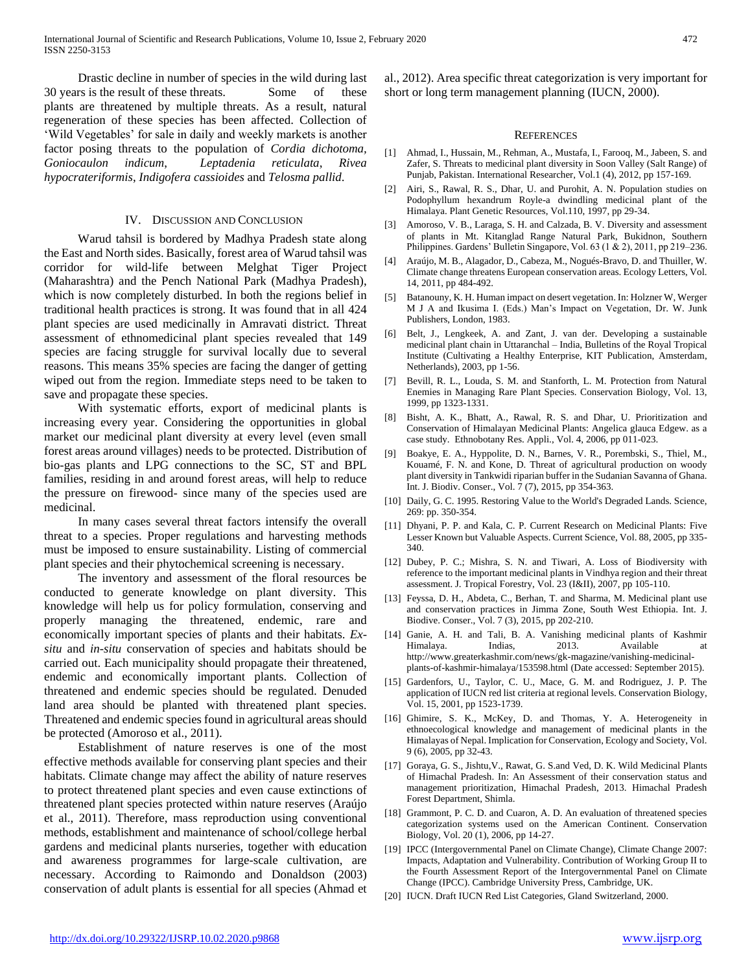Drastic decline in number of species in the wild during last 30 years is the result of these threats. Some of these plants are threatened by multiple threats. As a result, natural regeneration of these species has been affected. Collection of 'Wild Vegetables' for sale in daily and weekly markets is another factor posing threats to the population of *Cordia dichotoma, Goniocaulon indicum*, *Leptadenia reticulata*, *Rivea hypocrateriformis*, *Indigofera cassioides* and *Telosma pallid*.

#### IV. DISCUSSION AND CONCLUSION

 Warud tahsil is bordered by Madhya Pradesh state along the East and North sides. Basically, forest area of Warud tahsil was corridor for wild-life between Melghat Tiger Project (Maharashtra) and the Pench National Park (Madhya Pradesh), which is now completely disturbed. In both the regions belief in traditional health practices is strong. It was found that in all 424 plant species are used medicinally in Amravati district. Threat assessment of ethnomedicinal plant species revealed that 149 species are facing struggle for survival locally due to several reasons. This means 35% species are facing the danger of getting wiped out from the region. Immediate steps need to be taken to save and propagate these species.

 With systematic efforts, export of medicinal plants is increasing every year. Considering the opportunities in global market our medicinal plant diversity at every level (even small forest areas around villages) needs to be protected. Distribution of bio-gas plants and LPG connections to the SC, ST and BPL families, residing in and around forest areas, will help to reduce the pressure on firewood- since many of the species used are medicinal.

 In many cases several threat factors intensify the overall threat to a species. Proper regulations and harvesting methods must be imposed to ensure sustainability. Listing of commercial plant species and their phytochemical screening is necessary.

 The inventory and assessment of the floral resources be conducted to generate knowledge on plant diversity. This knowledge will help us for policy formulation, conserving and properly managing the threatened, endemic, rare and economically important species of plants and their habitats. *Exsitu* and *in-situ* conservation of species and habitats should be carried out. Each municipality should propagate their threatened, endemic and economically important plants. Collection of threatened and endemic species should be regulated. Denuded land area should be planted with threatened plant species. Threatened and endemic species found in agricultural areas should be protected (Amoroso et al., 2011).

 Establishment of nature reserves is one of the most effective methods available for conserving plant species and their habitats. Climate change may affect the ability of nature reserves to protect threatened plant species and even cause extinctions of threatened plant species protected within nature reserves (Araújo et al., 2011). Therefore, mass reproduction using conventional methods, establishment and maintenance of school/college herbal gardens and medicinal plants nurseries, together with education and awareness programmes for large-scale cultivation, are necessary. According to Raimondo and Donaldson (2003) conservation of adult plants is essential for all species (Ahmad et al., 2012). Area specific threat categorization is very important for short or long term management planning (IUCN, 2000).

#### **REFERENCES**

- [1] Ahmad, I., Hussain, M., Rehman, A., Mustafa, I., Farooq, M., Jabeen, S. and Zafer, S. Threats to medicinal plant diversity in Soon Valley (Salt Range) of Punjab, Pakistan. International Researcher, Vol.1 (4), 2012, pp 157-169.
- [2] Airi, S., Rawal, R. S., Dhar, U. and Purohit, A. N. Population studies on Podophyllum hexandrum Royle-a dwindling medicinal plant of the Himalaya. Plant Genetic Resources, Vol.110, 1997, pp 29-34.
- [3] Amoroso, V. B., Laraga, S. H. and Calzada, B. V. Diversity and assessment of plants in Mt. Kitanglad Range Natural Park, Bukidnon, Southern Philippines. Gardens' Bulletin Singapore, Vol. 63 (1 & 2), 2011, pp 219–236.
- [4] Araújo, M. B., Alagador, D., Cabeza, M., Nogués-Bravo, D. and Thuiller, W. Climate change threatens European conservation areas. Ecology Letters, Vol. 14, 2011, pp 484-492.
- [5] Batanouny, K. H. Human impact on desert vegetation. In: Holzner W, Werger M J A and Ikusima I. (Eds.) Man's Impact on Vegetation, Dr. W. Junk Publishers, London, 1983.
- [6] Belt, J., Lengkeek, A. and Zant, J. van der. Developing a sustainable medicinal plant chain in Uttaranchal – India, Bulletins of the Royal Tropical Institute (Cultivating a Healthy Enterprise, KIT Publication, Amsterdam, Netherlands), 2003, pp 1-56.
- [7] Bevill, R. L., Louda, S. M. and Stanforth, L. M. Protection from Natural Enemies in Managing Rare Plant Species. Conservation Biology, Vol. 13, 1999, pp 1323-1331.
- [8] Bisht, A. K., Bhatt, A., Rawal, R. S. and Dhar, U. Prioritization and Conservation of Himalayan Medicinal Plants: Angelica glauca Edgew. as a case study. Ethnobotany Res. Appli., Vol. 4, 2006, pp 011-023.
- [9] Boakye, E. A., Hyppolite, D. N., Barnes, V. R., Porembski, S., Thiel, M., Kouamé, F. N. and Kone, D. Threat of agricultural production on woody plant diversity in Tankwidi riparian buffer in the Sudanian Savanna of Ghana. Int. J. Biodiv. Conser., Vol. 7 (7), 2015, pp 354-363.
- [10] Daily, G. C. 1995. Restoring Value to the World's Degraded Lands. Science, 269: pp. 350-354.
- [11] Dhyani, P. P. and Kala, C. P. Current Research on Medicinal Plants: Five Lesser Known but Valuable Aspects. Current Science, Vol. 88, 2005, pp 335- 340.
- [12] Dubey, P. C.; Mishra, S. N. and Tiwari, A. Loss of Biodiversity with reference to the important medicinal plants in Vindhya region and their threat assessment. J. Tropical Forestry, Vol. 23 (I&II), 2007, pp 105-110.
- [13] Feyssa, D. H., Abdeta, C., Berhan, T. and Sharma, M. Medicinal plant use and conservation practices in Jimma Zone, South West Ethiopia. Int. J. Biodive. Conser., Vol. 7 (3), 2015, pp 202-210.
- [14] Ganie, A. H. and Tali, B. A. Vanishing medicinal plants of Kashmir Himalaya. Indias, 2013. Available at http://www.greaterkashmir.com/news/gk-magazine/vanishing-medicinalplants-of-kashmir-himalaya/153598.html (Date accessed: September 2015).
- [15] Gardenfors, U., Taylor, C. U., Mace, G. M. and Rodriguez, J. P. The application of IUCN red list criteria at regional levels. Conservation Biology, Vol. 15, 2001, pp 1523-1739.
- [16] Ghimire, S. K., McKey, D. and Thomas, Y. A. Heterogeneity in ethnoecological knowledge and management of medicinal plants in the Himalayas of Nepal. Implication for Conservation, Ecology and Society, Vol. 9 (6), 2005, pp 32-43.
- [17] Goraya, G. S., Jishtu, V., Rawat, G. S.and Ved, D. K. Wild Medicinal Plants of Himachal Pradesh. In: An Assessment of their conservation status and management prioritization, Himachal Pradesh, 2013. Himachal Pradesh Forest Department, Shimla.
- [18] Grammont, P. C. D. and Cuaron, A. D. An evaluation of threatened species categorization systems used on the American Continent. Conservation Biology, Vol. 20 (1), 2006, pp 14-27.
- [19] IPCC (Intergovernmental Panel on Climate Change), Climate Change 2007: Impacts, Adaptation and Vulnerability. Contribution of Working Group II to the Fourth Assessment Report of the Intergovernmental Panel on Climate Change (IPCC). Cambridge University Press, Cambridge, UK.
- [20] IUCN. Draft IUCN Red List Categories, Gland Switzerland, 2000.